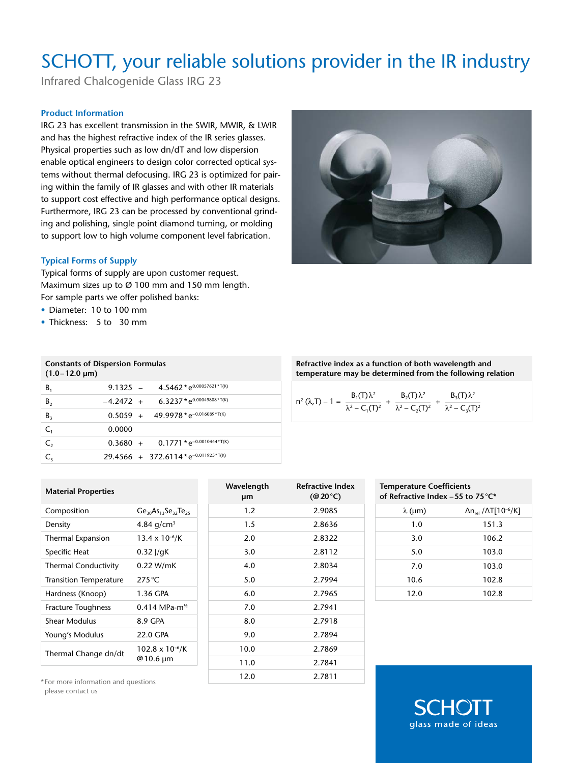## SCHOTT, your reliable solutions provider in the IR industry

Infrared Chalcogenide Glass IRG 23

#### **Product Information**

IRG 23 has excellent transmission in the SWIR, MWIR, & LWIR and has the highest refractive index of the IR series glasses. Physical properties such as low dn/dT and low dispersion enable optical engineers to design color corrected optical systems without thermal defocusing. IRG 23 is optimized for pairing within the family of IR glasses and with other IR materials to support cost effective and high performance optical designs. Furthermore, IRG 23 can be processed by conventional grinding and polishing, single point diamond turning, or molding to support low to high volume component level fabrication.

#### **Typical Forms of Supply**

Typical forms of supply are upon customer request. Maximum sizes up to Ø 100 mm and 150 mm length. For sample parts we offer polished banks:

- • Diameter: 10 to 100 mm
- Thickness: 5 to 30 mm

| <b>Constants of Dispersion Formulas</b><br>$(1.0 - 12.0 \,\mu m)$ |             |                                                     |
|-------------------------------------------------------------------|-------------|-----------------------------------------------------|
| B <sub>1</sub>                                                    |             | 9.1325 - $4.5462 \times e^{0.00057621 \times T(K)}$ |
| $B_{2}$                                                           | $-4.2472 +$ | $6.3237*e^{0.00049808*T(K)}$                        |
| $B_3$                                                             |             | $0.5059 + 49.9978*e^{-0.016089*T(K)}$               |
| C <sub>1</sub>                                                    | 0.0000      |                                                     |
| C <sub>2</sub>                                                    |             | $0.3680 + 0.1771*e^{-0.0010444*T(K)}$               |
| C,                                                                |             | 29.4566 + 372.6114*e <sup>-0.011925*T(K)</sup>      |

| $Ge_{30}As_{13}Se_{32}Te_{25}$        |
|---------------------------------------|
| 4.84 $q/cm^3$                         |
| $13.4 \times 10^{-6}$ /K              |
| $0.32$ J/gK                           |
| 0.22 W/mK                             |
| 275 $\degree$ C                       |
| 1.36 GPA                              |
| 0.414 MPa-m <sup>1/2</sup>            |
| 8.9 GPA                               |
| 22.0 GPA                              |
| $102.8 \times 10^{-6}$ /K<br>@10.6 µm |
|                                       |

\* For more information and questions please contact us

| Wavelength<br>μm | <b>Refractive Index</b><br>$(\textcircled{a} 20^{\circ}\text{C})$ |
|------------------|-------------------------------------------------------------------|
| 1.2              | 2.9085                                                            |
| 1.5              | 2.8636                                                            |
| 2.0              | 2.8322                                                            |
| 3.0              | 2.8112                                                            |
| 4.0              | 2.8034                                                            |
| 5.0              | 2.7994                                                            |
| 6.0              | 2.7965                                                            |
| 7.0              | 2.7941                                                            |
| 8.0              | 2.7918                                                            |
| 9.0              | 2.7894                                                            |
| 10.0             | 2.7869                                                            |
| 11.0             | 2.7841                                                            |
| 12.0             | 2.7811                                                            |



**Refractive index as a function of both wavelength and temperature may be determined from the following relation**

$$
n^2 (\lambda, T) - 1 = \frac{B_1(T) \lambda^2}{\lambda^2 - C_1(T)^2} + \frac{B_2(T) \lambda^2}{\lambda^2 - C_2(T)^2} + \frac{B_3(T) \lambda^2}{\lambda^2 - C_3(T)^2}
$$

| <b>Temperature Coefficients</b><br>of Refractive Index -55 to 75 °C* |                                                             |  |  |  |  |
|----------------------------------------------------------------------|-------------------------------------------------------------|--|--|--|--|
| $\lambda$ (µm)                                                       | $\Delta$ n <sub>rel</sub> / $\Delta$ T[10 <sup>-6</sup> /K] |  |  |  |  |
| 1.0                                                                  | 151.3                                                       |  |  |  |  |
| 3.0                                                                  | 106.2                                                       |  |  |  |  |
| 5.0                                                                  | 103.0                                                       |  |  |  |  |
| 7.0                                                                  | 103.0                                                       |  |  |  |  |
| 10.6                                                                 | 102.8                                                       |  |  |  |  |
| 12.0                                                                 | 102.8                                                       |  |  |  |  |

glass made of ideas